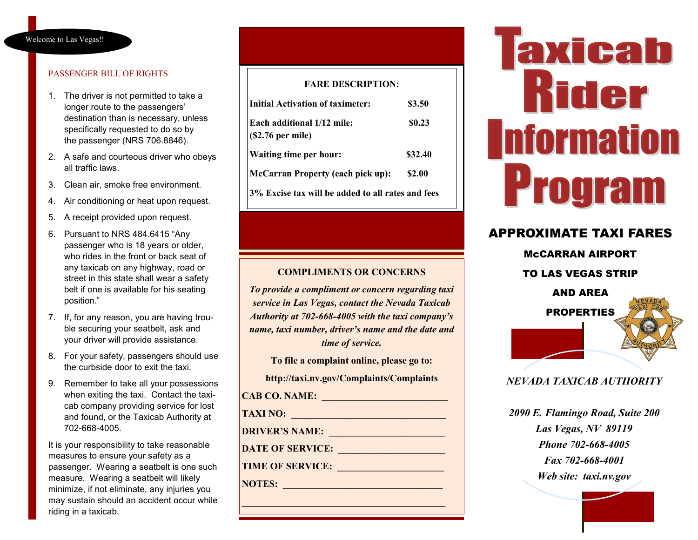#### Welcome to Las Vegas!!

#### PASSENGER BILL OF RIGHTS

- 1. The driver is not permitted to take a longer route to the passengers' destination than is necessary, unless specifically requested to do so by the passenger (NRS 706.8846).
- 2. A safe and courteous driver who obeys all traffic laws.
- 3. Clean air, smoke free environment.
- 4. Air conditioning or heat upon request.
- 5. A receipt provided upon request.
- 6. Pursuant to NRS 484.6415 "Any passenger who is 18 years or older, who rides in the front or back seat of any taxicab on any highway, road or street in this state shall wear a safety belt if one is available for his seating position."
- 7. If, for any reason, you are having trouble securing your seatbelt, ask and your driver will provide assistance.
- 8. For your safety, passengers should use the curbside door to exit the taxi.
- 9. Remember to take all your possessions when exiting the taxi. Contact the taxicab company providing service for lost and found, or the Taxicab Authority at 702-668-4005.

It is your responsibility to take reasonable measures to ensure your safety as a passenger. Wearing a seatbelt is one such measure. Wearing a seatbelt will likely minimize, if not eliminate, any injuries you may sustain should an accident occur while riding in a taxicab.

### **FARE DESCRIPTION:**

| Initial Activation of taximeter:                  | \$3.50  |
|---------------------------------------------------|---------|
| Each additional 1/12 mile:<br>$(S2.76$ per mile)  | \$0.23  |
| Waiting time per hour:                            | \$32.40 |
| <b>McCarran Property (each pick up):</b>          | \$2.00  |
| 3% Excise tax will be added to all rates and fees |         |

### **COMPLIMENTS OR CONCERNS**

*To provide a compliment or concern regarding taxi service in Las Vegas, contact the Nevada Taxicab Authority at 702-668-4005 with the taxi company's name, taxi number, driver's name and the date and time of service.*

**To file a complaint online, please go to:**

**http://taxi.nv.gov/Complaints/Complaints**

**\_\_\_\_\_\_\_\_\_\_\_\_\_\_\_\_\_\_\_\_\_\_\_\_\_\_\_\_\_\_\_\_\_\_\_\_\_\_\_\_\_\_**

**CAB CO. NAME: \_\_\_\_\_\_\_\_\_\_\_\_\_\_\_\_\_\_\_\_\_\_\_\_\_\_**

**TAXI NO:**  $\blacksquare$ 

**DRIVER'S NAME: \_\_\_\_\_\_\_\_\_\_\_\_\_\_\_\_\_\_\_\_\_\_\_\_**

**DATE OF SERVICE: DATE OF SERVICE:** 

**TIME OF SERVICE:**  $\blacksquare$ 

**NOTES: \_\_\_\_\_\_\_\_\_\_\_\_\_\_\_\_\_\_\_\_\_\_\_\_\_\_\_\_\_\_\_\_\_**

# Taxicab Rider **Information** Program

# APPROXIMATE TAXI FARES

McCARRAN AIRPORT TO LAS VEGAS STRIP



### *NEVADA TAXICAB AUTHORITY*

*2090 E. Flamingo Road, Suite 200 Las Vegas, NV 89119 Phone 702-668-4005 Fax 702-668-4001 Web site: taxi.nv.gov*